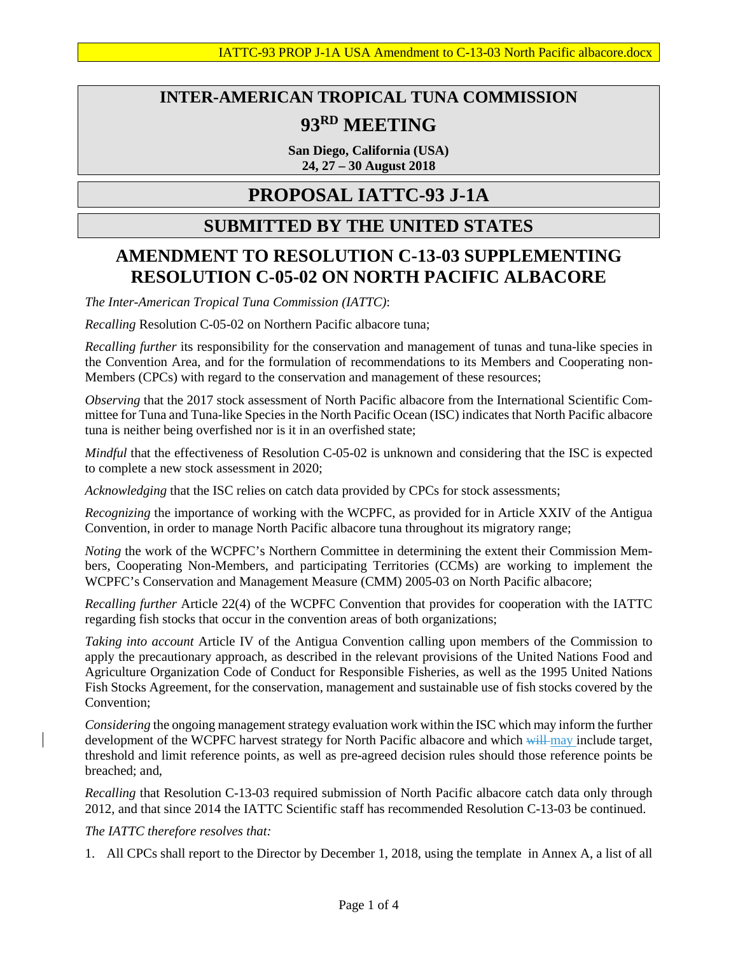# **INTER-AMERICAN TROPICAL TUNA COMMISSION 93RD MEETING**

**San Diego, California (USA) 24, 27 – 30 August 2018**

## **PROPOSAL IATTC-93 J-1A**

### **SUBMITTED BY THE UNITED STATES**

### **AMENDMENT TO RESOLUTION C-13-03 SUPPLEMENTING RESOLUTION C-05-02 ON NORTH PACIFIC ALBACORE**

*The Inter-American Tropical Tuna Commission (IATTC)*:

*Recalling* Resolution C-05-02 on Northern Pacific albacore tuna;

*Recalling further* its responsibility for the conservation and management of tunas and tuna-like species in the Convention Area, and for the formulation of recommendations to its Members and Cooperating non-Members (CPCs) with regard to the conservation and management of these resources;

*Observing* that the 2017 stock assessment of North Pacific albacore from the International Scientific Committee for Tuna and Tuna-like Species in the North Pacific Ocean (ISC) indicates that North Pacific albacore tuna is neither being overfished nor is it in an overfished state;

*Mindful* that the effectiveness of Resolution C-05-02 is unknown and considering that the ISC is expected to complete a new stock assessment in 2020;

*Acknowledging* that the ISC relies on catch data provided by CPCs for stock assessments;

*Recognizing* the importance of working with the WCPFC, as provided for in Article XXIV of the Antigua Convention, in order to manage North Pacific albacore tuna throughout its migratory range;

*Noting* the work of the WCPFC's Northern Committee in determining the extent their Commission Members, Cooperating Non-Members, and participating Territories (CCMs) are working to implement the WCPFC's Conservation and Management Measure (CMM) 2005-03 on North Pacific albacore;

*Recalling further* Article 22(4) of the WCPFC Convention that provides for cooperation with the IATTC regarding fish stocks that occur in the convention areas of both organizations;

*Taking into account* Article IV of the Antigua Convention calling upon members of the Commission to apply the precautionary approach, as described in the relevant provisions of the United Nations Food and Agriculture Organization Code of Conduct for Responsible Fisheries, as well as the 1995 United Nations Fish Stocks Agreement, for the conservation, management and sustainable use of fish stocks covered by the Convention;

*Considering* the ongoing management strategy evaluation work within the ISC which may inform the further development of the WCPFC harvest strategy for North Pacific albacore and which will may include target, threshold and limit reference points, as well as pre-agreed decision rules should those reference points be breached; and,

*Recalling* that Resolution C-13-03 required submission of North Pacific albacore catch data only through 2012, and that since 2014 the IATTC Scientific staff has recommended Resolution C-13-03 be continued.

#### *The IATTC therefore resolves that:*

1. All CPCs shall report to the Director by December 1, 2018, using the template in Annex A, a list of all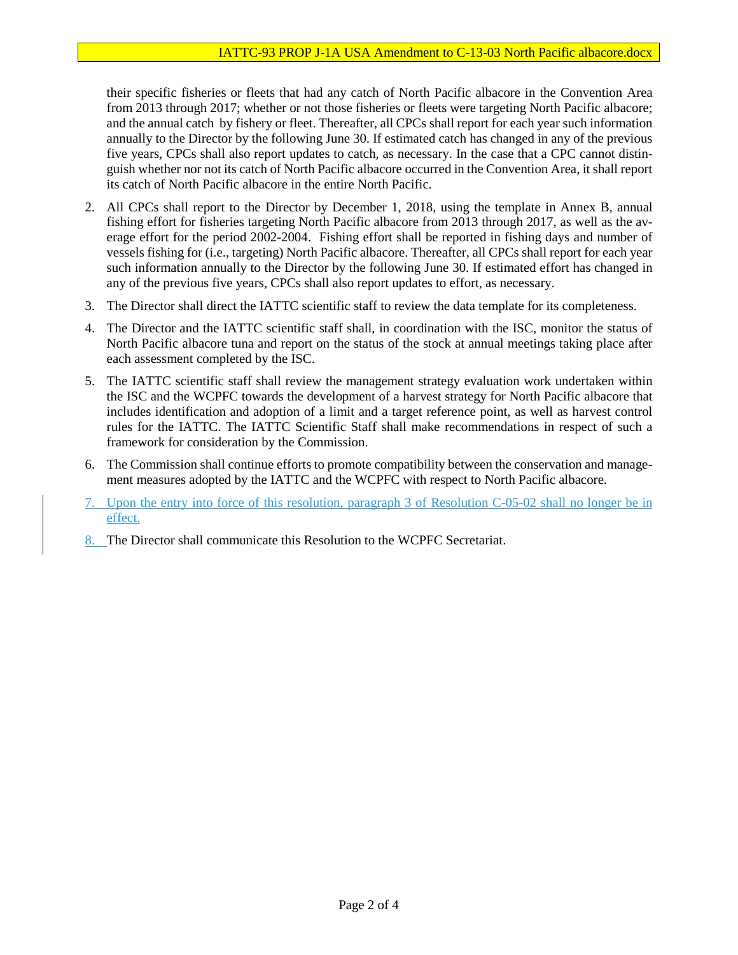their specific fisheries or fleets that had any catch of North Pacific albacore in the Convention Area from 2013 through 2017; whether or not those fisheries or fleets were targeting North Pacific albacore; and the annual catch by fishery or fleet. Thereafter, all CPCs shall report for each year such information annually to the Director by the following June 30. If estimated catch has changed in any of the previous five years, CPCs shall also report updates to catch, as necessary. In the case that a CPC cannot distinguish whether nor not its catch of North Pacific albacore occurred in the Convention Area, it shall report its catch of North Pacific albacore in the entire North Pacific.

- 2. All CPCs shall report to the Director by December 1, 2018, using the template in Annex B, annual fishing effort for fisheries targeting North Pacific albacore from 2013 through 2017, as well as the average effort for the period 2002-2004. Fishing effort shall be reported in fishing days and number of vessels fishing for (i.e., targeting) North Pacific albacore. Thereafter, all CPCs shall report for each year such information annually to the Director by the following June 30. If estimated effort has changed in any of the previous five years, CPCs shall also report updates to effort, as necessary.
- 3. The Director shall direct the IATTC scientific staff to review the data template for its completeness.
- 4. The Director and the IATTC scientific staff shall, in coordination with the ISC, monitor the status of North Pacific albacore tuna and report on the status of the stock at annual meetings taking place after each assessment completed by the ISC.
- 5. The IATTC scientific staff shall review the management strategy evaluation work undertaken within the ISC and the WCPFC towards the development of a harvest strategy for North Pacific albacore that includes identification and adoption of a limit and a target reference point, as well as harvest control rules for the IATTC. The IATTC Scientific Staff shall make recommendations in respect of such a framework for consideration by the Commission.
- 6. The Commission shall continue efforts to promote compatibility between the conservation and management measures adopted by the IATTC and the WCPFC with respect to North Pacific albacore.
- 7. Upon the entry into force of this resolution, paragraph 3 of Resolution C-05-02 shall no longer be in effect.
- 8. The Director shall communicate this Resolution to the WCPFC Secretariat.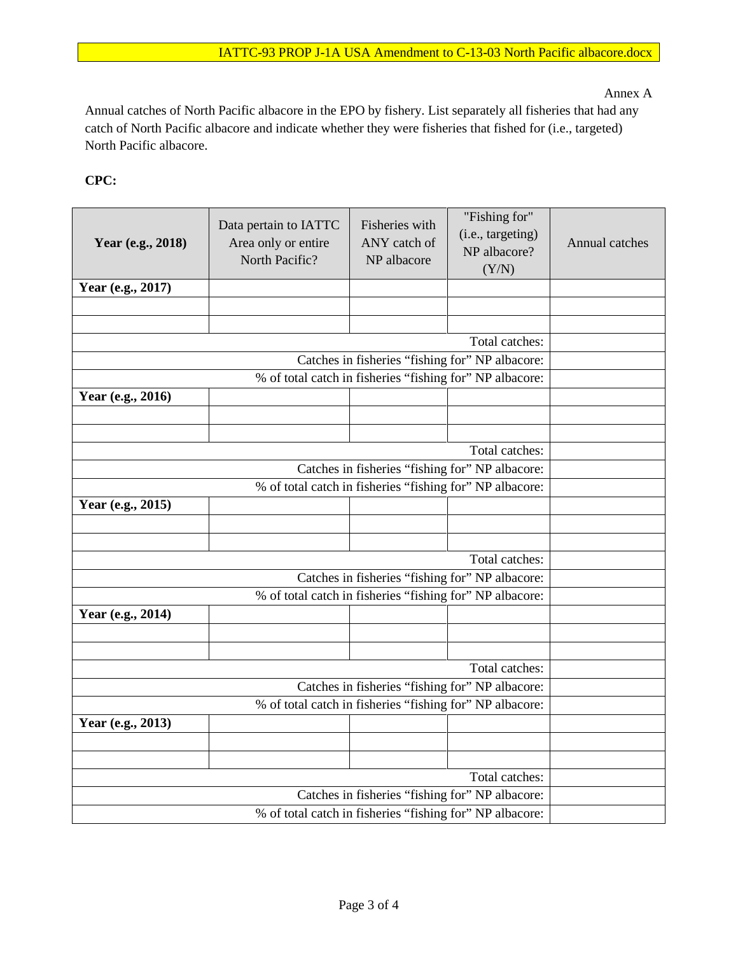Annex A

Annual catches of North Pacific albacore in the EPO by fishery. List separately all fisheries that had any catch of North Pacific albacore and indicate whether they were fisheries that fished for (i.e., targeted) North Pacific albacore.

**CPC:** 

| Year (e.g., 2018) | Data pertain to IATTC<br>Area only or entire<br>North Pacific? | Fisheries with<br>ANY catch of<br>NP albacore | "Fishing for"<br>(i.e., targeting)<br>NP albacore?<br>(Y/N) | Annual catches |  |  |  |  |
|-------------------|----------------------------------------------------------------|-----------------------------------------------|-------------------------------------------------------------|----------------|--|--|--|--|
| Year (e.g., 2017) |                                                                |                                               |                                                             |                |  |  |  |  |
|                   |                                                                |                                               |                                                             |                |  |  |  |  |
|                   |                                                                |                                               | Total catches:                                              |                |  |  |  |  |
|                   |                                                                |                                               |                                                             |                |  |  |  |  |
|                   |                                                                |                                               |                                                             |                |  |  |  |  |
|                   |                                                                |                                               |                                                             |                |  |  |  |  |
| Year (e.g., 2016) |                                                                |                                               |                                                             |                |  |  |  |  |
|                   |                                                                |                                               |                                                             |                |  |  |  |  |
|                   |                                                                |                                               | Total catches:                                              |                |  |  |  |  |
|                   |                                                                |                                               |                                                             |                |  |  |  |  |
|                   |                                                                |                                               |                                                             |                |  |  |  |  |
| Year (e.g., 2015) |                                                                |                                               |                                                             |                |  |  |  |  |
|                   |                                                                |                                               |                                                             |                |  |  |  |  |
|                   |                                                                |                                               |                                                             |                |  |  |  |  |
|                   |                                                                |                                               | Total catches:                                              |                |  |  |  |  |
|                   |                                                                |                                               |                                                             |                |  |  |  |  |
|                   |                                                                |                                               |                                                             |                |  |  |  |  |
| Year (e.g., 2014) | % of total catch in fisheries "fishing for" NP albacore:       |                                               |                                                             |                |  |  |  |  |
|                   |                                                                |                                               |                                                             |                |  |  |  |  |
|                   |                                                                |                                               |                                                             |                |  |  |  |  |
|                   |                                                                |                                               |                                                             |                |  |  |  |  |
|                   |                                                                |                                               |                                                             |                |  |  |  |  |
|                   |                                                                |                                               |                                                             |                |  |  |  |  |
| Year (e.g., 2013) |                                                                |                                               |                                                             |                |  |  |  |  |
|                   |                                                                |                                               |                                                             |                |  |  |  |  |
|                   |                                                                |                                               |                                                             |                |  |  |  |  |
|                   |                                                                |                                               |                                                             |                |  |  |  |  |
|                   |                                                                |                                               |                                                             |                |  |  |  |  |
|                   |                                                                |                                               |                                                             |                |  |  |  |  |